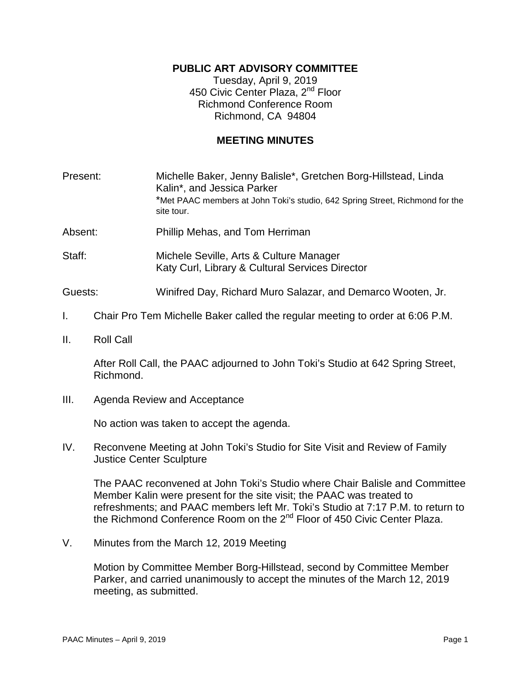# **PUBLIC ART ADVISORY COMMITTEE**

Tuesday, April 9, 2019 450 Civic Center Plaza, 2<sup>nd</sup> Floor Richmond Conference Room Richmond, CA 94804

## **MEETING MINUTES**

Present: Michelle Baker, Jenny Balisle\*, Gretchen Borg-Hillstead, Linda Kalin\*, and Jessica Parker \*Met PAAC members at John Toki's studio, 642 Spring Street, Richmond for the site tour.

Absent: Phillip Mehas, and Tom Herriman

Staff: Michele Seville, Arts & Culture Manager Katy Curl, Library & Cultural Services Director

Guests: Winifred Day, Richard Muro Salazar, and Demarco Wooten, Jr.

- I. Chair Pro Tem Michelle Baker called the regular meeting to order at 6:06 P.M.
- II. Roll Call

After Roll Call, the PAAC adjourned to John Toki's Studio at 642 Spring Street, Richmond.

III. Agenda Review and Acceptance

No action was taken to accept the agenda.

IV. Reconvene Meeting at John Toki's Studio for Site Visit and Review of Family Justice Center Sculpture

The PAAC reconvened at John Toki's Studio where Chair Balisle and Committee Member Kalin were present for the site visit; the PAAC was treated to refreshments; and PAAC members left Mr. Toki's Studio at 7:17 P.M. to return to the Richmond Conference Room on the 2<sup>nd</sup> Floor of 450 Civic Center Plaza.

V. Minutes from the March 12, 2019 Meeting

Motion by Committee Member Borg-Hillstead, second by Committee Member Parker, and carried unanimously to accept the minutes of the March 12, 2019 meeting, as submitted.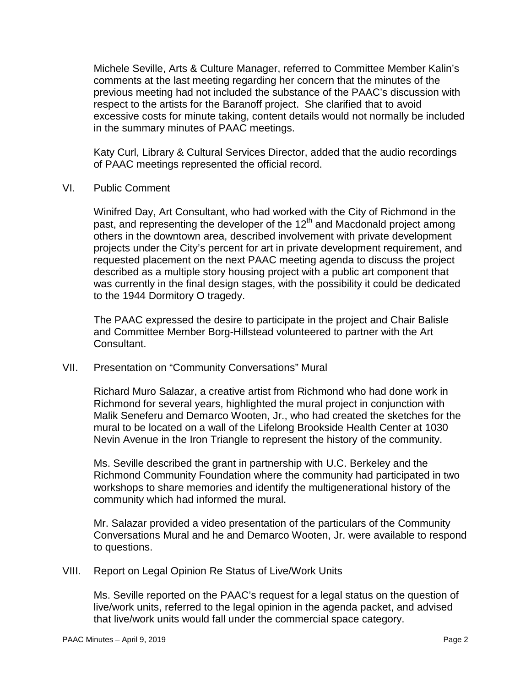Michele Seville, Arts & Culture Manager, referred to Committee Member Kalin's comments at the last meeting regarding her concern that the minutes of the previous meeting had not included the substance of the PAAC's discussion with respect to the artists for the Baranoff project. She clarified that to avoid excessive costs for minute taking, content details would not normally be included in the summary minutes of PAAC meetings.

Katy Curl, Library & Cultural Services Director, added that the audio recordings of PAAC meetings represented the official record.

VI. Public Comment

Winifred Day, Art Consultant, who had worked with the City of Richmond in the past, and representing the developer of the 12<sup>th</sup> and Macdonald project among others in the downtown area, described involvement with private development projects under the City's percent for art in private development requirement, and requested placement on the next PAAC meeting agenda to discuss the project described as a multiple story housing project with a public art component that was currently in the final design stages, with the possibility it could be dedicated to the 1944 Dormitory O tragedy.

The PAAC expressed the desire to participate in the project and Chair Balisle and Committee Member Borg-Hillstead volunteered to partner with the Art Consultant.

VII. Presentation on "Community Conversations" Mural

Richard Muro Salazar, a creative artist from Richmond who had done work in Richmond for several years, highlighted the mural project in conjunction with Malik Seneferu and Demarco Wooten, Jr., who had created the sketches for the mural to be located on a wall of the Lifelong Brookside Health Center at 1030 Nevin Avenue in the Iron Triangle to represent the history of the community.

Ms. Seville described the grant in partnership with U.C. Berkeley and the Richmond Community Foundation where the community had participated in two workshops to share memories and identify the multigenerational history of the community which had informed the mural.

Mr. Salazar provided a video presentation of the particulars of the Community Conversations Mural and he and Demarco Wooten, Jr. were available to respond to questions.

VIII. Report on Legal Opinion Re Status of Live/Work Units

Ms. Seville reported on the PAAC's request for a legal status on the question of live/work units, referred to the legal opinion in the agenda packet, and advised that live/work units would fall under the commercial space category.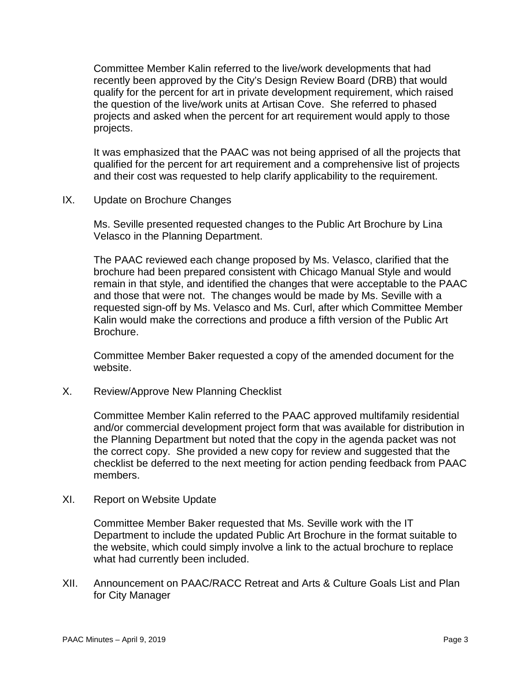Committee Member Kalin referred to the live/work developments that had recently been approved by the City's Design Review Board (DRB) that would qualify for the percent for art in private development requirement, which raised the question of the live/work units at Artisan Cove. She referred to phased projects and asked when the percent for art requirement would apply to those projects.

It was emphasized that the PAAC was not being apprised of all the projects that qualified for the percent for art requirement and a comprehensive list of projects and their cost was requested to help clarify applicability to the requirement.

IX. Update on Brochure Changes

Ms. Seville presented requested changes to the Public Art Brochure by Lina Velasco in the Planning Department.

The PAAC reviewed each change proposed by Ms. Velasco, clarified that the brochure had been prepared consistent with Chicago Manual Style and would remain in that style, and identified the changes that were acceptable to the PAAC and those that were not. The changes would be made by Ms. Seville with a requested sign-off by Ms. Velasco and Ms. Curl, after which Committee Member Kalin would make the corrections and produce a fifth version of the Public Art Brochure.

Committee Member Baker requested a copy of the amended document for the website.

X. Review/Approve New Planning Checklist

Committee Member Kalin referred to the PAAC approved multifamily residential and/or commercial development project form that was available for distribution in the Planning Department but noted that the copy in the agenda packet was not the correct copy. She provided a new copy for review and suggested that the checklist be deferred to the next meeting for action pending feedback from PAAC members.

XI. Report on Website Update

Committee Member Baker requested that Ms. Seville work with the IT Department to include the updated Public Art Brochure in the format suitable to the website, which could simply involve a link to the actual brochure to replace what had currently been included.

XII. Announcement on PAAC/RACC Retreat and Arts & Culture Goals List and Plan for City Manager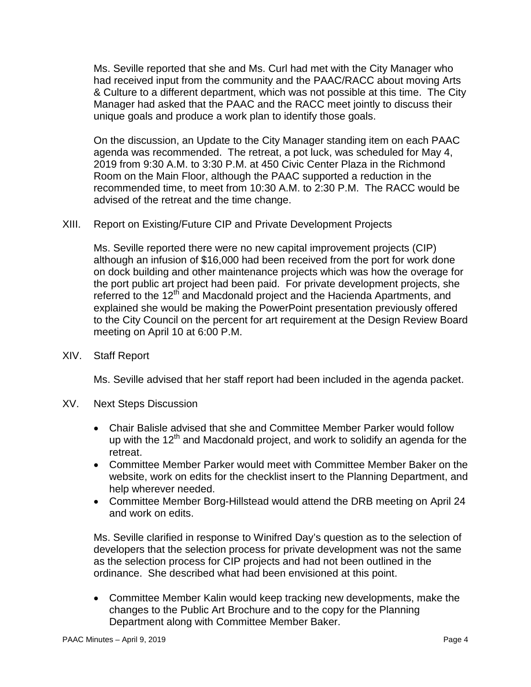Ms. Seville reported that she and Ms. Curl had met with the City Manager who had received input from the community and the PAAC/RACC about moving Arts & Culture to a different department, which was not possible at this time. The City Manager had asked that the PAAC and the RACC meet jointly to discuss their unique goals and produce a work plan to identify those goals.

On the discussion, an Update to the City Manager standing item on each PAAC agenda was recommended. The retreat, a pot luck, was scheduled for May 4, 2019 from 9:30 A.M. to 3:30 P.M. at 450 Civic Center Plaza in the Richmond Room on the Main Floor, although the PAAC supported a reduction in the recommended time, to meet from 10:30 A.M. to 2:30 P.M. The RACC would be advised of the retreat and the time change.

## XIII. Report on Existing/Future CIP and Private Development Projects

Ms. Seville reported there were no new capital improvement projects (CIP) although an infusion of \$16,000 had been received from the port for work done on dock building and other maintenance projects which was how the overage for the port public art project had been paid. For private development projects, she referred to the 12<sup>th</sup> and Macdonald project and the Hacienda Apartments, and explained she would be making the PowerPoint presentation previously offered to the City Council on the percent for art requirement at the Design Review Board meeting on April 10 at 6:00 P.M.

XIV. Staff Report

Ms. Seville advised that her staff report had been included in the agenda packet.

- XV. Next Steps Discussion
	- Chair Balisle advised that she and Committee Member Parker would follow up with the  $12<sup>th</sup>$  and Macdonald project, and work to solidify an agenda for the retreat.
	- Committee Member Parker would meet with Committee Member Baker on the website, work on edits for the checklist insert to the Planning Department, and help wherever needed.
	- Committee Member Borg-Hillstead would attend the DRB meeting on April 24 and work on edits.

Ms. Seville clarified in response to Winifred Day's question as to the selection of developers that the selection process for private development was not the same as the selection process for CIP projects and had not been outlined in the ordinance. She described what had been envisioned at this point.

• Committee Member Kalin would keep tracking new developments, make the changes to the Public Art Brochure and to the copy for the Planning Department along with Committee Member Baker.